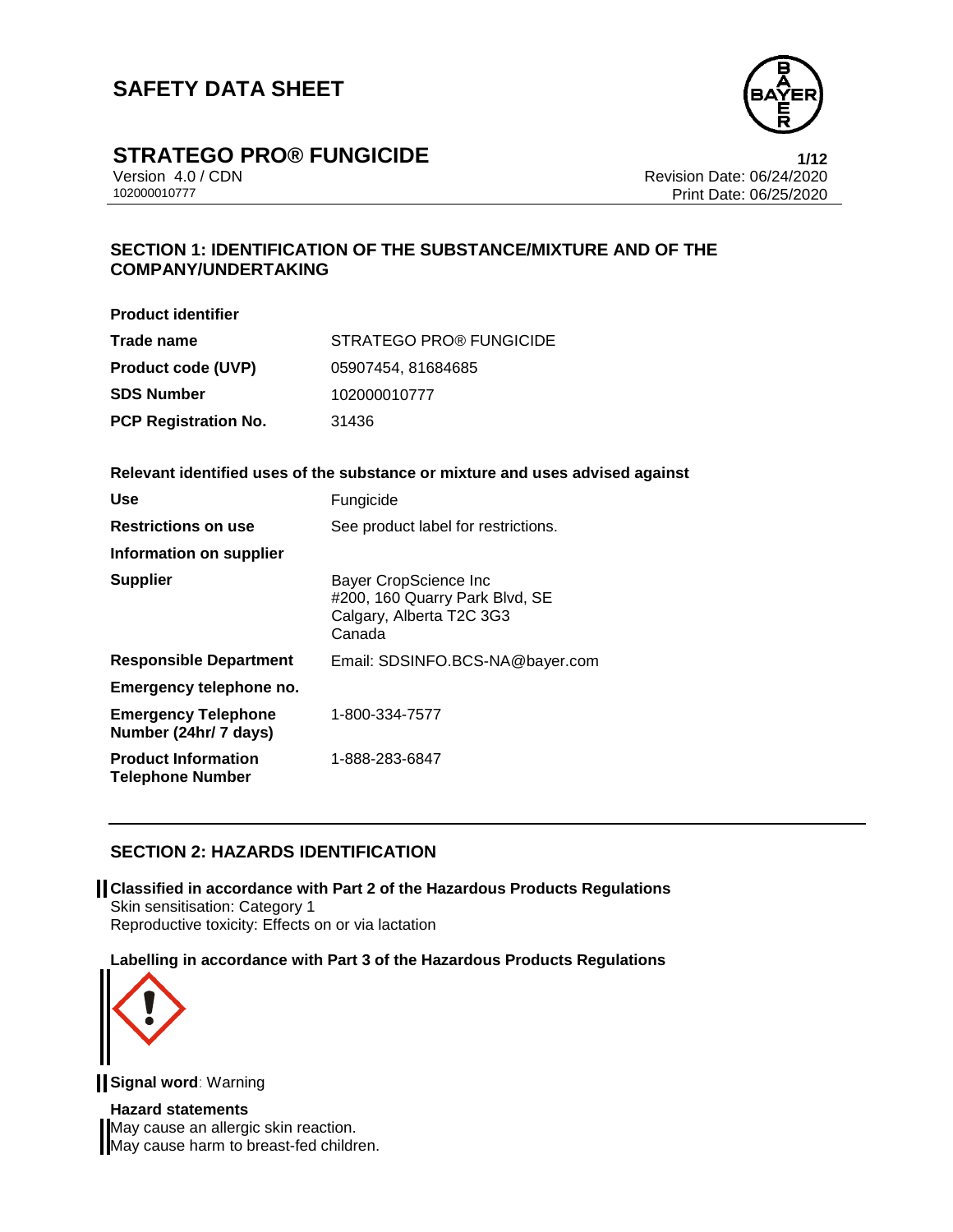

# **STRATEGO PRO® FUNGICIDE**<br>Version 4.0 / CDN<br>Revision Date: 06/24/2020

Version 4.0 / CDN Revision Date: 06/24/2020 Print Date: 06/25/2020

## **SECTION 1: IDENTIFICATION OF THE SUBSTANCE/MIXTURE AND OF THE COMPANY/UNDERTAKING**

| <b>Product identifier</b>                             |                                                                                               |
|-------------------------------------------------------|-----------------------------------------------------------------------------------------------|
| Trade name                                            | STRATEGO PRO® FUNGICIDE                                                                       |
| <b>Product code (UVP)</b>                             | 05907454, 81684685                                                                            |
| <b>SDS Number</b>                                     | 102000010777                                                                                  |
| <b>PCP Registration No.</b>                           | 31436                                                                                         |
|                                                       | Relevant identified uses of the substance or mixture and uses advised against                 |
| Use                                                   | Fungicide                                                                                     |
| <b>Restrictions on use</b>                            | See product label for restrictions.                                                           |
| Information on supplier                               |                                                                                               |
| Supplier                                              | Bayer CropScience Inc<br>#200, 160 Quarry Park Blvd, SE<br>Calgary, Alberta T2C 3G3<br>Canada |
| <b>Responsible Department</b>                         | Email: SDSINFO.BCS-NA@bayer.com                                                               |
| <b>Emergency telephone no.</b>                        |                                                                                               |
| <b>Emergency Telephone</b><br>Number (24hr/ 7 days)   | 1-800-334-7577                                                                                |
| <b>Product Information</b><br><b>Telephone Number</b> | 1-888-283-6847                                                                                |

## **SECTION 2: HAZARDS IDENTIFICATION**

**Classified in accordance with Part 2 of the Hazardous Products Regulations** Skin sensitisation: Category 1 Reproductive toxicity: Effects on or via lactation

**Labelling in accordance with Part 3 of the Hazardous Products Regulations**



**Signal word**: Warning

**Hazard statements** May cause an allergic skin reaction. May cause harm to breast-fed children.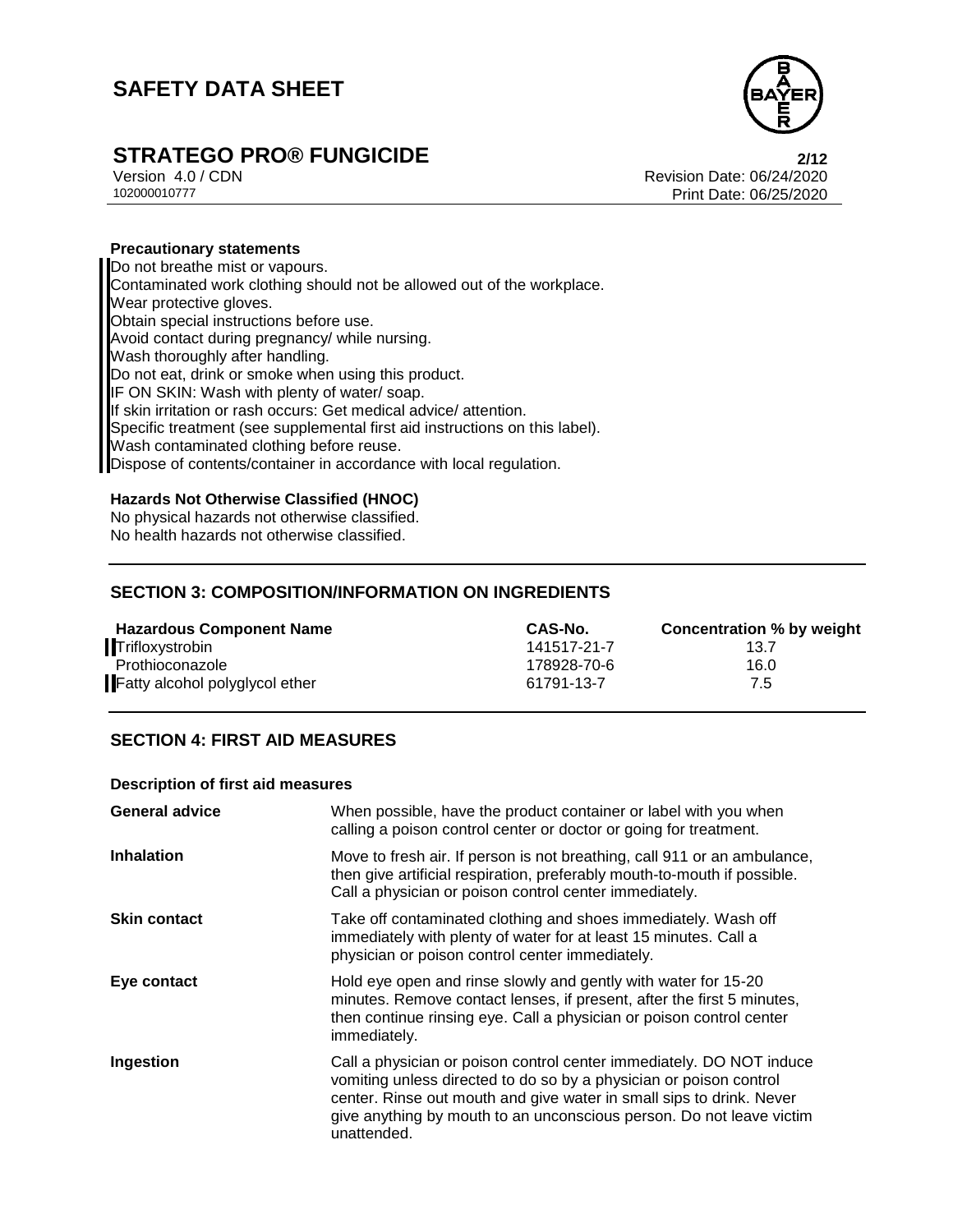

# **STRATEGO PRO® FUNGICIDE**<br>
Version 4.0/CDN<br>
Revision Date: 06/24/2020

Version 4.0 / CDN Revision Date: 06/24/2020 Print Date: 06/25/2020

### **Precautionary statements**

Do not breathe mist or vapours. Contaminated work clothing should not be allowed out of the workplace. Wear protective gloves. Obtain special instructions before use. Avoid contact during pregnancy/ while nursing. Wash thoroughly after handling. Do not eat, drink or smoke when using this product. IF ON SKIN: Wash with plenty of water/ soap. If skin irritation or rash occurs: Get medical advice/ attention. Specific treatment (see supplemental first aid instructions on this label). Wash contaminated clothing before reuse. Dispose of contents/container in accordance with local regulation.

### **Hazards Not Otherwise Classified (HNOC)**

No physical hazards not otherwise classified. No health hazards not otherwise classified.

### **SECTION 3: COMPOSITION/INFORMATION ON INGREDIENTS**

| <b>Hazardous Component Name</b> | CAS-No.     | Concentration % by weight |
|---------------------------------|-------------|---------------------------|
| Trifloxystrobin                 | 141517-21-7 | 13.7                      |
| Prothioconazole                 | 178928-70-6 | 16.0                      |
| Fatty alcohol polyglycol ether  | 61791-13-7  | 7.5                       |

## **SECTION 4: FIRST AID MEASURES**

### **Description of first aid measures**

| <b>General advice</b> | When possible, have the product container or label with you when<br>calling a poison control center or doctor or going for treatment.                                                                                                                                                                     |
|-----------------------|-----------------------------------------------------------------------------------------------------------------------------------------------------------------------------------------------------------------------------------------------------------------------------------------------------------|
| <b>Inhalation</b>     | Move to fresh air. If person is not breathing, call 911 or an ambulance,<br>then give artificial respiration, preferably mouth-to-mouth if possible.<br>Call a physician or poison control center immediately.                                                                                            |
| <b>Skin contact</b>   | Take off contaminated clothing and shoes immediately. Wash off<br>immediately with plenty of water for at least 15 minutes. Call a<br>physician or poison control center immediately.                                                                                                                     |
| Eye contact           | Hold eye open and rinse slowly and gently with water for 15-20<br>minutes. Remove contact lenses, if present, after the first 5 minutes,<br>then continue rinsing eye. Call a physician or poison control center<br>immediately.                                                                          |
| Ingestion             | Call a physician or poison control center immediately. DO NOT induce<br>vomiting unless directed to do so by a physician or poison control<br>center. Rinse out mouth and give water in small sips to drink. Never<br>give anything by mouth to an unconscious person. Do not leave victim<br>unattended. |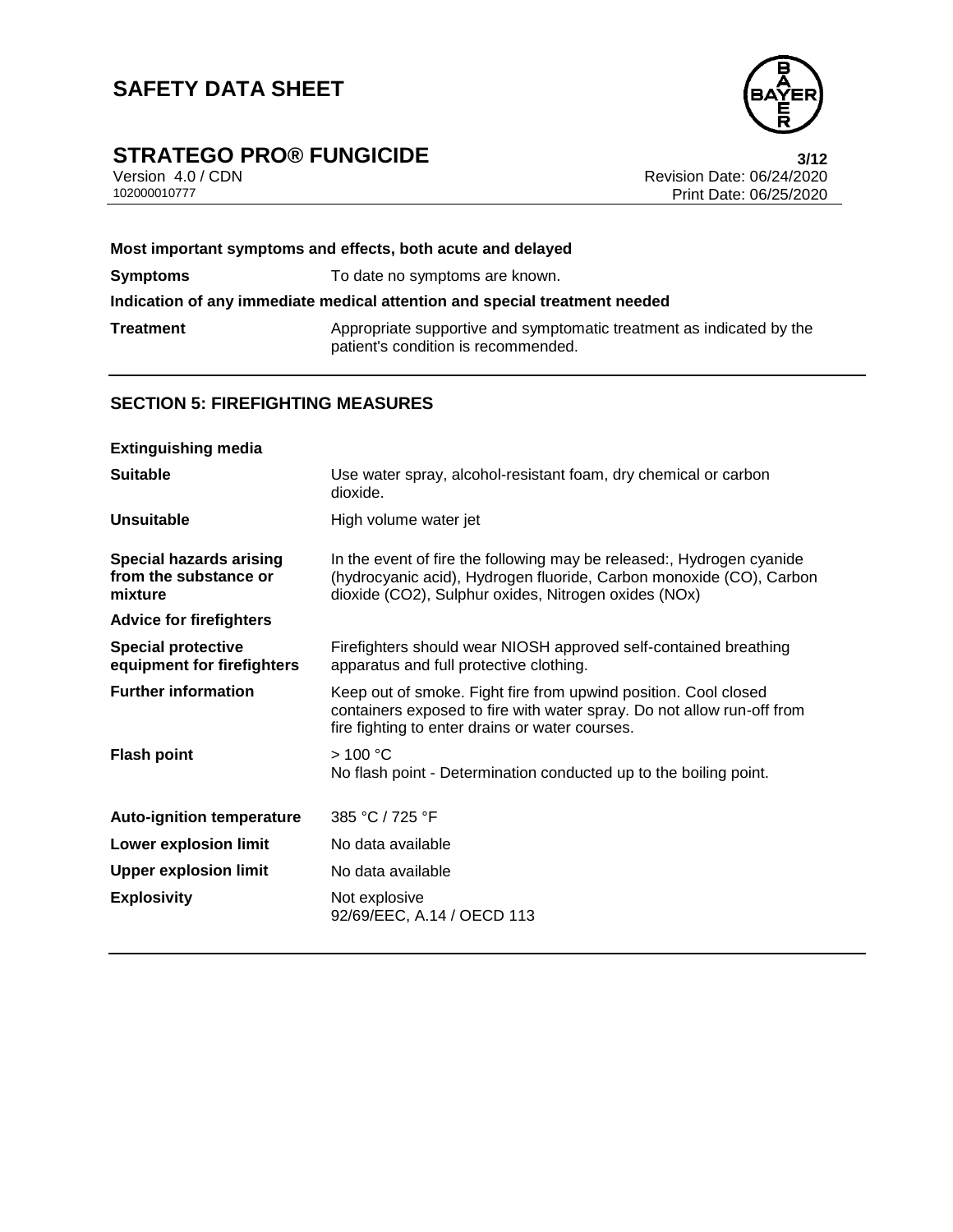# **STRATEGO PRO® FUNGICIDE**<br>Version 4.0 / CDN<br>Revision Date: 06/24/2020



Version 4.0 / CDN<br>102000010777<br>Print Date: 06/24/2020 Print Date: 06/25/2020

|                 | Most important symptoms and effects, both acute and delayed                                                 |
|-----------------|-------------------------------------------------------------------------------------------------------------|
| <b>Symptoms</b> | To date no symptoms are known.                                                                              |
|                 | Indication of any immediate medical attention and special treatment needed                                  |
| Treatment       | Appropriate supportive and symptomatic treatment as indicated by the<br>patient's condition is recommended. |
|                 |                                                                                                             |

## **SECTION 5: FIREFIGHTING MEASURES**

| <b>Extinguishing media</b>                                         |                                                                                                                                                                                                      |
|--------------------------------------------------------------------|------------------------------------------------------------------------------------------------------------------------------------------------------------------------------------------------------|
| <b>Suitable</b>                                                    | Use water spray, alcohol-resistant foam, dry chemical or carbon<br>dioxide.                                                                                                                          |
| <b>Unsuitable</b>                                                  | High volume water jet                                                                                                                                                                                |
| <b>Special hazards arising</b><br>from the substance or<br>mixture | In the event of fire the following may be released:, Hydrogen cyanide<br>(hydrocyanic acid), Hydrogen fluoride, Carbon monoxide (CO), Carbon<br>dioxide (CO2), Sulphur oxides, Nitrogen oxides (NOx) |
| <b>Advice for firefighters</b>                                     |                                                                                                                                                                                                      |
| <b>Special protective</b><br>equipment for firefighters            | Firefighters should wear NIOSH approved self-contained breathing<br>apparatus and full protective clothing.                                                                                          |
| <b>Further information</b>                                         | Keep out of smoke. Fight fire from upwind position. Cool closed<br>containers exposed to fire with water spray. Do not allow run-off from<br>fire fighting to enter drains or water courses.         |
| <b>Flash point</b>                                                 | >100 °C<br>No flash point - Determination conducted up to the boiling point.                                                                                                                         |
| <b>Auto-ignition temperature</b>                                   | 385 °C / 725 °F                                                                                                                                                                                      |
| <b>Lower explosion limit</b>                                       | No data available                                                                                                                                                                                    |
| <b>Upper explosion limit</b>                                       | No data available                                                                                                                                                                                    |
| <b>Explosivity</b>                                                 | Not explosive<br>92/69/EEC, A.14 / OECD 113                                                                                                                                                          |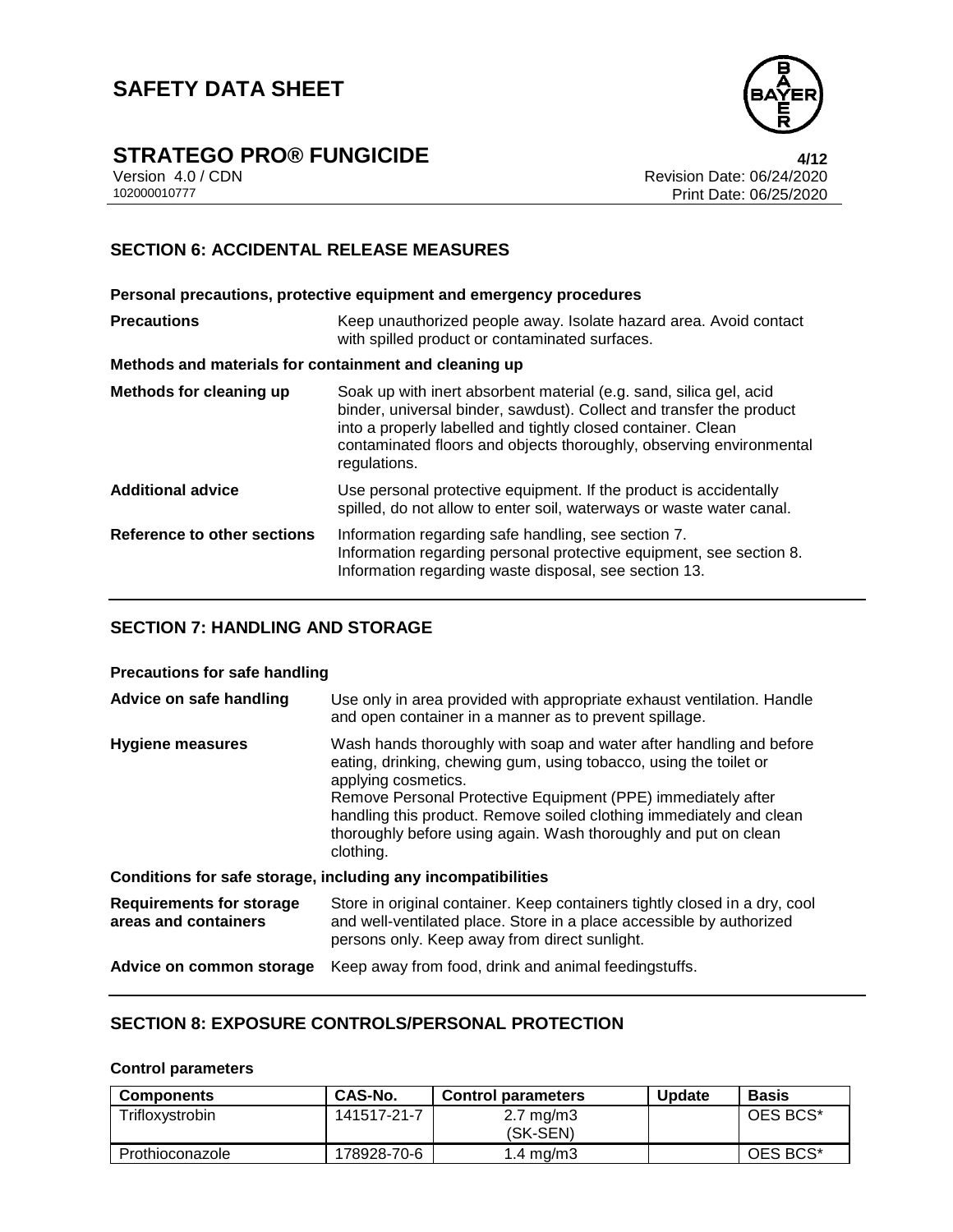

## **STRATEGO PRO® FUNGICIDE 4/12**

Version 4.0 / CDN Revision Date: 06/24/2020 Print Date: 06/25/2020

## **SECTION 6: ACCIDENTAL RELEASE MEASURES**

**Personal precautions, protective equipment and emergency procedures Precautions Keep unauthorized people away. Isolate hazard area. Avoid contact** with spilled product or contaminated surfaces. **Methods and materials for containment and cleaning up Methods for cleaning up** Soak up with inert absorbent material (e.g. sand, silica gel, acid binder, universal binder, sawdust). Collect and transfer the product into a properly labelled and tightly closed container. Clean contaminated floors and objects thoroughly, observing environmental regulations. **Additional advice** Use personal protective equipment. If the product is accidentally spilled, do not allow to enter soil, waterways or waste water canal. **Reference to other sections** Information regarding safe handling, see section 7. Information regarding personal protective equipment, see section 8. Information regarding waste disposal, see section 13.

## **SECTION 7: HANDLING AND STORAGE**

### **Precautions for safe handling**

| Advice on safe handling                                 | Use only in area provided with appropriate exhaust ventilation. Handle<br>and open container in a manner as to prevent spillage.                                                                                                                                                                                                                                                       |
|---------------------------------------------------------|----------------------------------------------------------------------------------------------------------------------------------------------------------------------------------------------------------------------------------------------------------------------------------------------------------------------------------------------------------------------------------------|
| Hygiene measures                                        | Wash hands thoroughly with soap and water after handling and before<br>eating, drinking, chewing gum, using tobacco, using the toilet or<br>applying cosmetics.<br>Remove Personal Protective Equipment (PPE) immediately after<br>handling this product. Remove soiled clothing immediately and clean<br>thoroughly before using again. Wash thoroughly and put on clean<br>clothing. |
|                                                         | Conditions for safe storage, including any incompatibilities                                                                                                                                                                                                                                                                                                                           |
| <b>Requirements for storage</b><br>areas and containers | Store in original container. Keep containers tightly closed in a dry, cool<br>and well-ventilated place. Store in a place accessible by authorized<br>persons only. Keep away from direct sunlight.                                                                                                                                                                                    |
| Advice on common storage                                | Keep away from food, drink and animal feedingstuffs.                                                                                                                                                                                                                                                                                                                                   |

### **SECTION 8: EXPOSURE CONTROLS/PERSONAL PROTECTION**

#### **Control parameters**

| Components      | CAS-No.     | <b>Control parameters</b>        | <b>Update</b> | <b>Basis</b> |
|-----------------|-------------|----------------------------------|---------------|--------------|
| Trifloxystrobin | 141517-21-7 | $2.7 \text{ mg/m}$ 3<br>(SK-SEN) |               | OES BCS*     |
| Prothioconazole | 178928-70-6 | 1.4 mg/m $3$                     |               | OES BCS*     |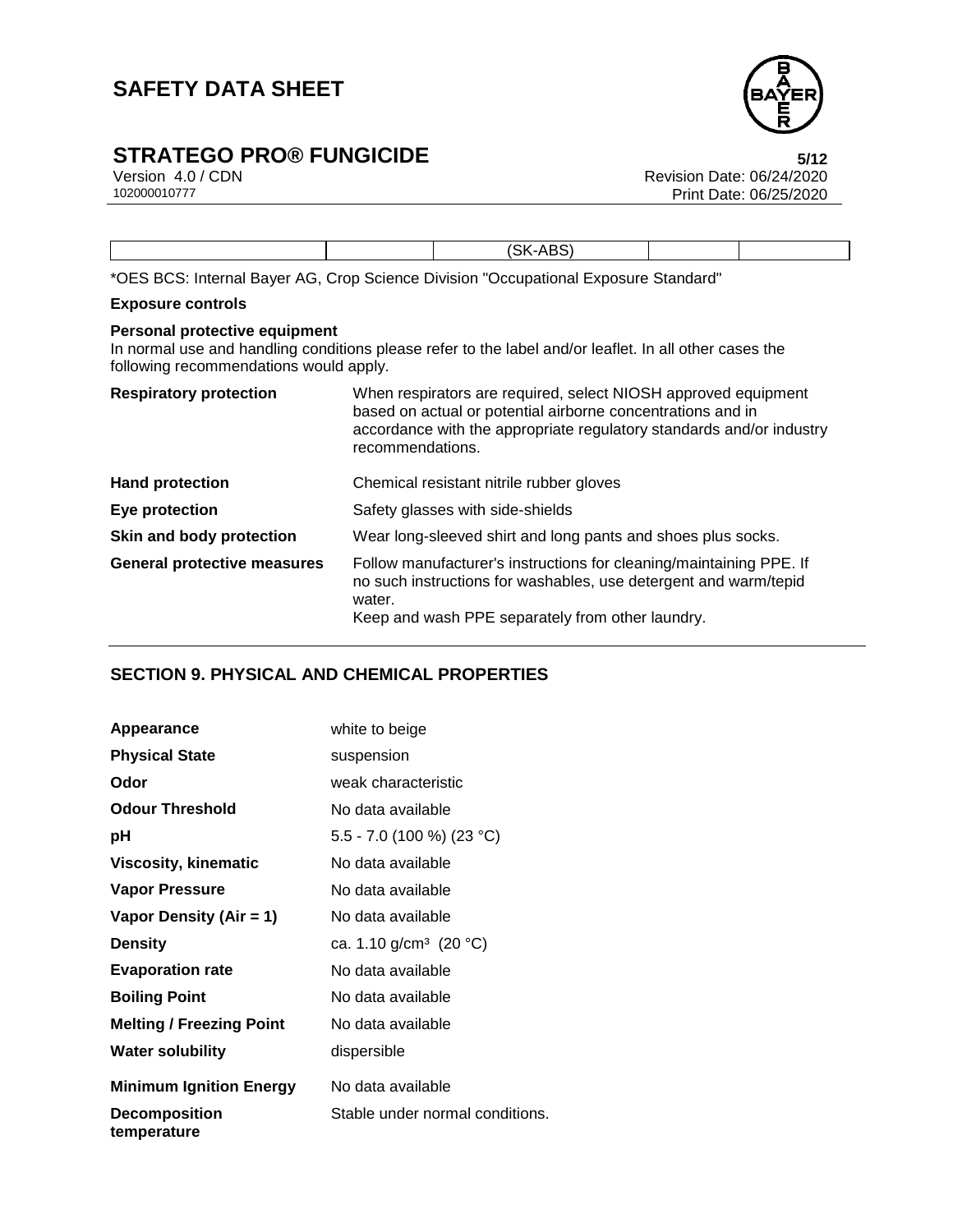

# **STRATEGO PRO® FUNGICIDE**<br>Version 4.0 / CDN<br>Revision Date: 06/24/2020

Version 4.0 / CDN<br>102000010777<br>Print Date: 06/25/2020 Print Date: 06/25/2020

|  | CV.<br>$\Delta$<br>$\overline{\phantom{0}}$ |  |
|--|---------------------------------------------|--|

\*OES BCS: Internal Bayer AG, Crop Science Division "Occupational Exposure Standard"

### **Exposure controls**

### **Personal protective equipment**

In normal use and handling conditions please refer to the label and/or leaflet. In all other cases the following recommendations would apply.

| <b>Respiratory protection</b>      | When respirators are required, select NIOSH approved equipment<br>based on actual or potential airborne concentrations and in<br>accordance with the appropriate regulatory standards and/or industry<br>recommendations. |
|------------------------------------|---------------------------------------------------------------------------------------------------------------------------------------------------------------------------------------------------------------------------|
| <b>Hand protection</b>             | Chemical resistant nitrile rubber gloves                                                                                                                                                                                  |
| Eye protection                     | Safety glasses with side-shields                                                                                                                                                                                          |
| Skin and body protection           | Wear long-sleeved shirt and long pants and shoes plus socks.                                                                                                                                                              |
| <b>General protective measures</b> | Follow manufacturer's instructions for cleaning/maintaining PPE. If<br>no such instructions for washables, use detergent and warm/tepid<br>water.<br>Keep and wash PPE separately from other laundry.                     |

## **SECTION 9. PHYSICAL AND CHEMICAL PROPERTIES**

| Appearance                          | white to beige                     |
|-------------------------------------|------------------------------------|
| <b>Physical State</b>               | suspension                         |
| Odor                                | weak characteristic                |
| <b>Odour Threshold</b>              | No data available                  |
| рH                                  | 5.5 - 7.0 (100 %) (23 °C)          |
| Viscosity, kinematic                | No data available                  |
| <b>Vapor Pressure</b>               | No data available                  |
| Vapor Density (Air = 1)             | No data available                  |
| <b>Density</b>                      | ca. 1.10 g/cm <sup>3</sup> (20 °C) |
| <b>Evaporation rate</b>             | No data available                  |
| <b>Boiling Point</b>                | No data available                  |
| <b>Melting / Freezing Point</b>     | No data available                  |
| <b>Water solubility</b>             | dispersible                        |
| <b>Minimum Ignition Energy</b>      | No data available                  |
| <b>Decomposition</b><br>temperature | Stable under normal conditions.    |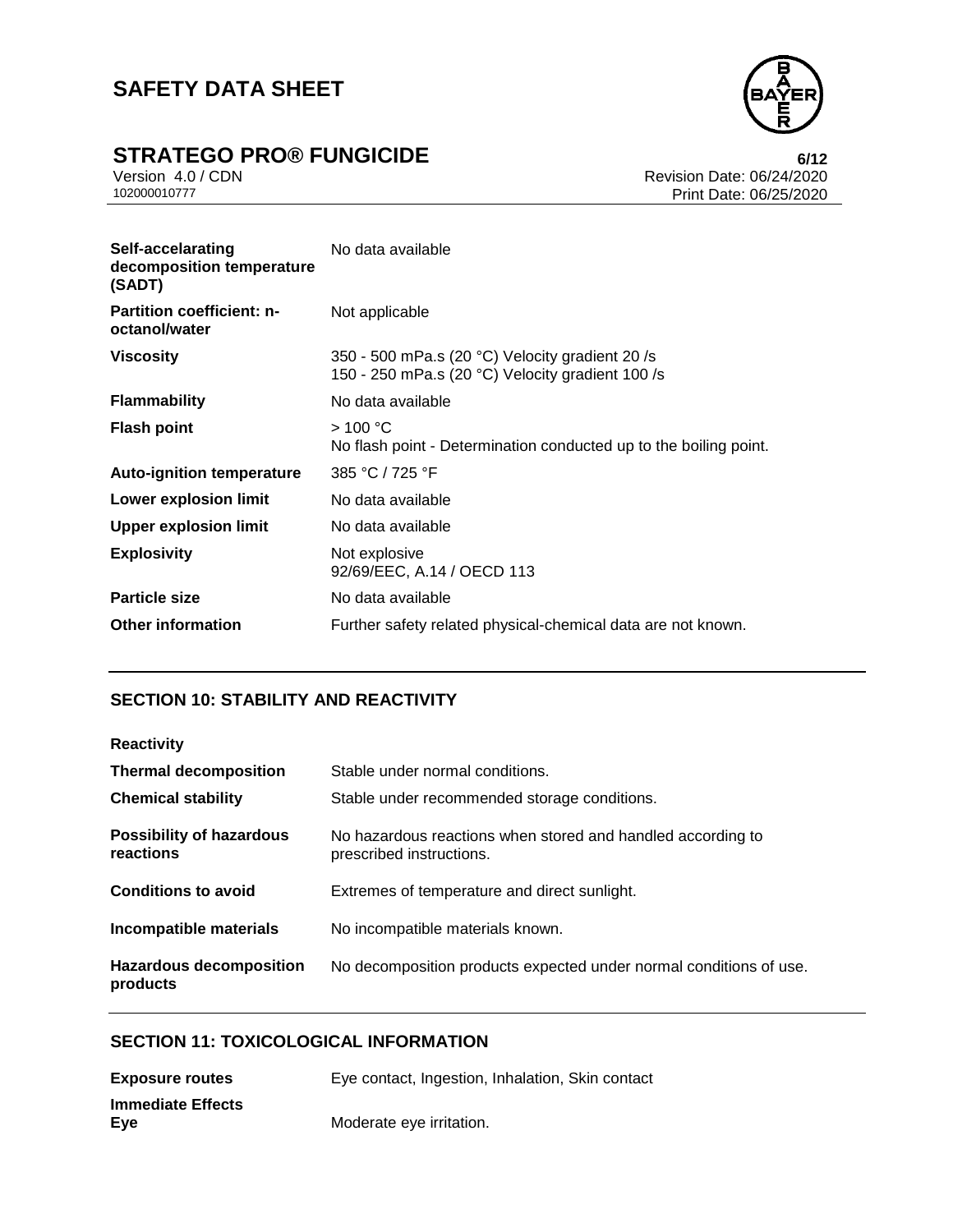

# **STRATEGO PRO® FUNGICIDE**<br>Version 4.0 / CDN<br>Revision Date: 06/24/2020

Version 4.0 / CDN<br>102000010777<br>Print Date: 06/25/2020 Print Date: 06/25/2020

| Self-accelarating<br>decomposition temperature<br>(SADT) | No data available                                                                                   |
|----------------------------------------------------------|-----------------------------------------------------------------------------------------------------|
| <b>Partition coefficient: n-</b><br>octanol/water        | Not applicable                                                                                      |
| <b>Viscosity</b>                                         | 350 - 500 mPa.s (20 °C) Velocity gradient 20 /s<br>150 - 250 mPa.s (20 °C) Velocity gradient 100 /s |
| <b>Flammability</b>                                      | No data available                                                                                   |
| <b>Flash point</b>                                       | >100 °C<br>No flash point - Determination conducted up to the boiling point.                        |
| <b>Auto-ignition temperature</b>                         | 385 °C / 725 °F                                                                                     |
| Lower explosion limit                                    | No data available                                                                                   |
| <b>Upper explosion limit</b>                             | No data available                                                                                   |
| <b>Explosivity</b>                                       | Not explosive<br>92/69/EEC, A.14 / OECD 113                                                         |
| <b>Particle size</b>                                     | No data available                                                                                   |
| <b>Other information</b>                                 | Further safety related physical-chemical data are not known.                                        |

## **SECTION 10: STABILITY AND REACTIVITY**

| <b>Reactivity</b>                            |                                                                                         |
|----------------------------------------------|-----------------------------------------------------------------------------------------|
| <b>Thermal decomposition</b>                 | Stable under normal conditions.                                                         |
| <b>Chemical stability</b>                    | Stable under recommended storage conditions.                                            |
| <b>Possibility of hazardous</b><br>reactions | No hazardous reactions when stored and handled according to<br>prescribed instructions. |
| <b>Conditions to avoid</b>                   | Extremes of temperature and direct sunlight.                                            |
| Incompatible materials                       | No incompatible materials known.                                                        |
| <b>Hazardous decomposition</b><br>products   | No decomposition products expected under normal conditions of use.                      |

### **SECTION 11: TOXICOLOGICAL INFORMATION**

| <b>Exposure routes</b>   | Eye contact, Ingestion, Inhalation, Skin contact |
|--------------------------|--------------------------------------------------|
| <b>Immediate Effects</b> |                                                  |
| Eye                      | Moderate eye irritation.                         |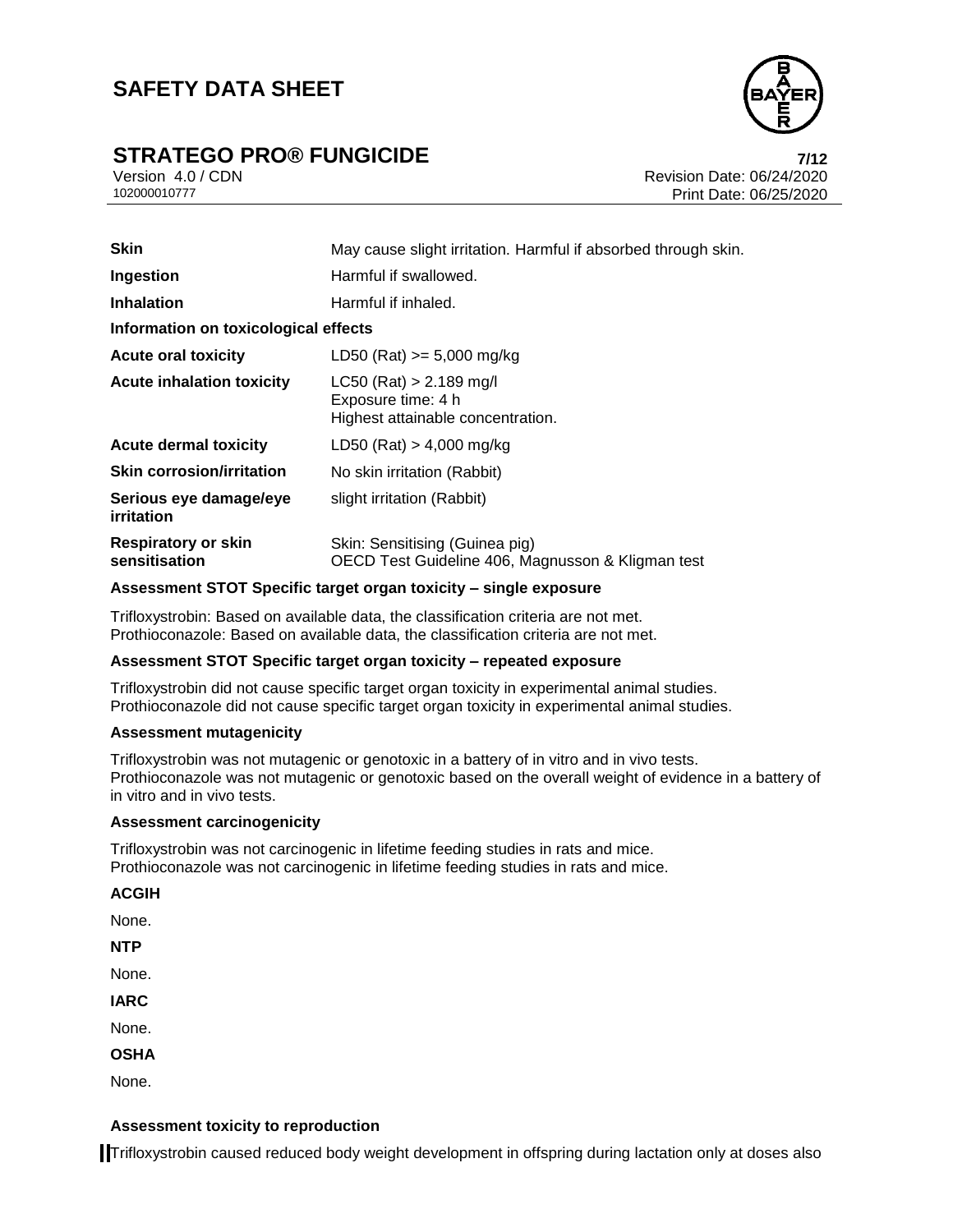# **STRATEGO PRO® FUNGICIDE**<br>
Version 4.0/CDN<br>
Revision Date: 06/24/2020



Version 4.0 / CDN<br>102000010777 Print Date: 06/24/2020<br>Print Date: 06/25/2020 Print Date: 06/25/2020

| <b>Skin</b>                                 | May cause slight irritation. Harmful if absorbed through skin.                       |  |  |
|---------------------------------------------|--------------------------------------------------------------------------------------|--|--|
| Ingestion                                   | Harmful if swallowed.                                                                |  |  |
| <b>Inhalation</b>                           | Harmful if inhaled.                                                                  |  |  |
| Information on toxicological effects        |                                                                                      |  |  |
| <b>Acute oral toxicity</b>                  | LD50 (Rat) $>= 5,000$ mg/kg                                                          |  |  |
| <b>Acute inhalation toxicity</b>            | $LC50$ (Rat) > 2.189 mg/l<br>Exposure time: 4 h<br>Highest attainable concentration. |  |  |
| <b>Acute dermal toxicity</b>                | LD50 (Rat) > 4,000 mg/kg                                                             |  |  |
| <b>Skin corrosion/irritation</b>            | No skin irritation (Rabbit)                                                          |  |  |
| Serious eye damage/eye<br>irritation        | slight irritation (Rabbit)                                                           |  |  |
| <b>Respiratory or skin</b><br>sensitisation | Skin: Sensitising (Guinea pig)<br>OECD Test Guideline 406, Magnusson & Kligman test  |  |  |

### **Assessment STOT Specific target organ toxicity – single exposure**

Trifloxystrobin: Based on available data, the classification criteria are not met. Prothioconazole: Based on available data, the classification criteria are not met.

### **Assessment STOT Specific target organ toxicity – repeated exposure**

Trifloxystrobin did not cause specific target organ toxicity in experimental animal studies. Prothioconazole did not cause specific target organ toxicity in experimental animal studies.

### **Assessment mutagenicity**

Trifloxystrobin was not mutagenic or genotoxic in a battery of in vitro and in vivo tests. Prothioconazole was not mutagenic or genotoxic based on the overall weight of evidence in a battery of in vitro and in vivo tests.

### **Assessment carcinogenicity**

Trifloxystrobin was not carcinogenic in lifetime feeding studies in rats and mice. Prothioconazole was not carcinogenic in lifetime feeding studies in rats and mice.

**ACGIH**

None.

**NTP**

None.

**IARC**

None.

**OSHA**

None.

### **Assessment toxicity to reproduction**

Trifloxystrobin caused reduced body weight development in offspring during lactation only at doses also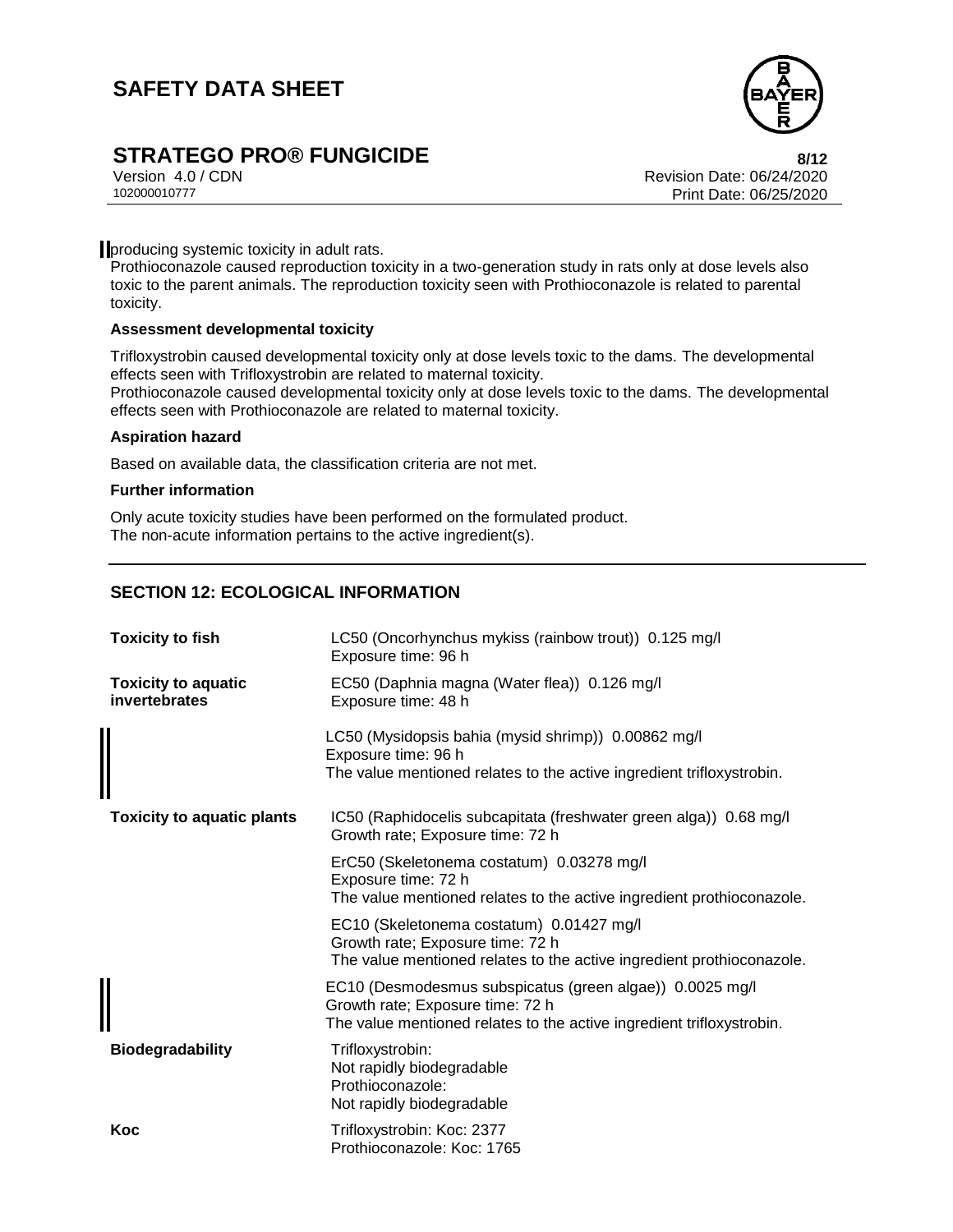

## **STRATEGO PRO® FUNGICIDE 8/12**

Version 4.0 / CDN Revision Date: 06/24/2020 Print Date: 06/25/2020

**producing systemic toxicity in adult rats.** 

Prothioconazole caused reproduction toxicity in a two-generation study in rats only at dose levels also toxic to the parent animals. The reproduction toxicity seen with Prothioconazole is related to parental toxicity.

### **Assessment developmental toxicity**

Trifloxystrobin caused developmental toxicity only at dose levels toxic to the dams. The developmental effects seen with Trifloxystrobin are related to maternal toxicity.

Prothioconazole caused developmental toxicity only at dose levels toxic to the dams. The developmental effects seen with Prothioconazole are related to maternal toxicity.

### **Aspiration hazard**

Based on available data, the classification criteria are not met.

#### **Further information**

Only acute toxicity studies have been performed on the formulated product. The non-acute information pertains to the active ingredient(s).

## **SECTION 12: ECOLOGICAL INFORMATION**

| <b>Toxicity to fish</b>                     | LC50 (Oncorhynchus mykiss (rainbow trout)) 0.125 mg/l<br>Exposure time: 96 h                                                                                          |  |
|---------------------------------------------|-----------------------------------------------------------------------------------------------------------------------------------------------------------------------|--|
| <b>Toxicity to aquatic</b><br>invertebrates | EC50 (Daphnia magna (Water flea)) 0.126 mg/l<br>Exposure time: 48 h                                                                                                   |  |
|                                             | LC50 (Mysidopsis bahia (mysid shrimp)) 0.00862 mg/l<br>Exposure time: 96 h<br>The value mentioned relates to the active ingredient trifloxystrobin.                   |  |
| <b>Toxicity to aquatic plants</b>           | IC50 (Raphidocelis subcapitata (freshwater green alga)) 0.68 mg/l<br>Growth rate; Exposure time: 72 h                                                                 |  |
|                                             | ErC50 (Skeletonema costatum) 0.03278 mg/l<br>Exposure time: 72 h<br>The value mentioned relates to the active ingredient prothioconazole.                             |  |
|                                             | EC10 (Skeletonema costatum) 0.01427 mg/l<br>Growth rate; Exposure time: 72 h<br>The value mentioned relates to the active ingredient prothioconazole.                 |  |
|                                             | EC10 (Desmodesmus subspicatus (green algae)) 0.0025 mg/l<br>Growth rate; Exposure time: 72 h<br>The value mentioned relates to the active ingredient trifloxystrobin. |  |
| <b>Biodegradability</b>                     | Trifloxystrobin:<br>Not rapidly biodegradable<br>Prothioconazole:<br>Not rapidly biodegradable                                                                        |  |
| Koc                                         | Trifloxystrobin: Koc: 2377<br>Prothioconazole: Koc: 1765                                                                                                              |  |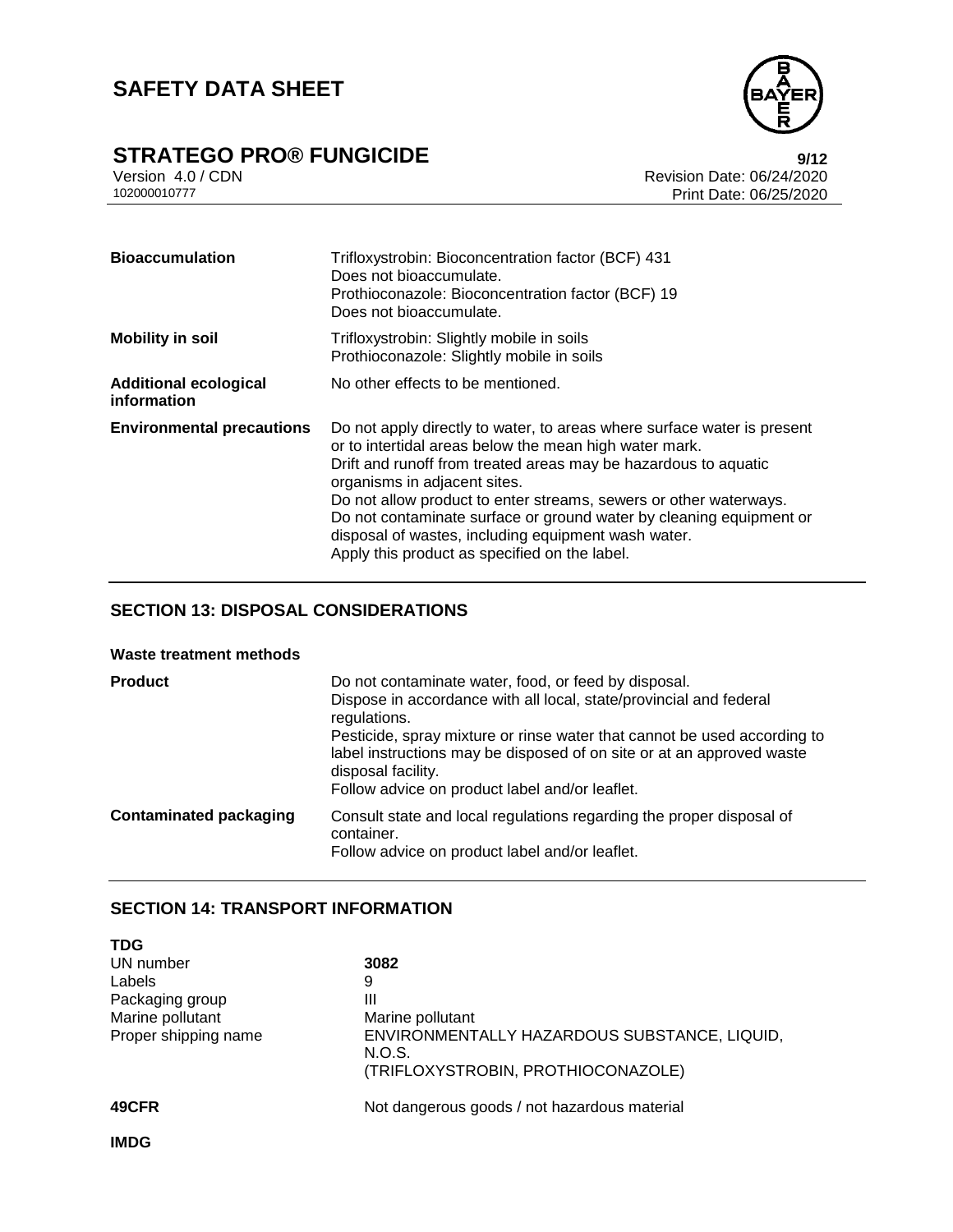

# **STRATEGO PRO® FUNGICIDE**<br>Version 4.0 / CDN<br>Revision Date: 06/24/2020

Version 4.0 / CDN<br>102000010777<br>Print Date: 06/25/2020 Print Date: 06/25/2020

| <b>Bioaccumulation</b>                      | Trifloxystrobin: Bioconcentration factor (BCF) 431<br>Does not bioaccumulate.<br>Prothioconazole: Bioconcentration factor (BCF) 19<br>Does not bioaccumulate.                                                                                                                                                                                                                                                                                                                            |  |  |
|---------------------------------------------|------------------------------------------------------------------------------------------------------------------------------------------------------------------------------------------------------------------------------------------------------------------------------------------------------------------------------------------------------------------------------------------------------------------------------------------------------------------------------------------|--|--|
| <b>Mobility in soil</b>                     | Trifloxystrobin: Slightly mobile in soils<br>Prothioconazole: Slightly mobile in soils                                                                                                                                                                                                                                                                                                                                                                                                   |  |  |
| <b>Additional ecological</b><br>information | No other effects to be mentioned.                                                                                                                                                                                                                                                                                                                                                                                                                                                        |  |  |
| <b>Environmental precautions</b>            | Do not apply directly to water, to areas where surface water is present<br>or to intertidal areas below the mean high water mark.<br>Drift and runoff from treated areas may be hazardous to aquatic<br>organisms in adjacent sites.<br>Do not allow product to enter streams, sewers or other waterways.<br>Do not contaminate surface or ground water by cleaning equipment or<br>disposal of wastes, including equipment wash water.<br>Apply this product as specified on the label. |  |  |

## **SECTION 13: DISPOSAL CONSIDERATIONS**

### **Waste treatment methods**

| <b>Product</b>                | Do not contaminate water, food, or feed by disposal.<br>Dispose in accordance with all local, state/provincial and federal<br>regulations.<br>Pesticide, spray mixture or rinse water that cannot be used according to<br>label instructions may be disposed of on site or at an approved waste<br>disposal facility.<br>Follow advice on product label and/or leaflet. |
|-------------------------------|-------------------------------------------------------------------------------------------------------------------------------------------------------------------------------------------------------------------------------------------------------------------------------------------------------------------------------------------------------------------------|
| <b>Contaminated packaging</b> | Consult state and local regulations regarding the proper disposal of<br>container.<br>Follow advice on product label and/or leaflet.                                                                                                                                                                                                                                    |

## **SECTION 14: TRANSPORT INFORMATION**

| <b>TDG</b>           |                                                        |
|----------------------|--------------------------------------------------------|
| UN number            | 3082                                                   |
| Labels               | 9                                                      |
| Packaging group      | Ш                                                      |
| Marine pollutant     | Marine pollutant                                       |
| Proper shipping name | ENVIRONMENTALLY HAZARDOUS SUBSTANCE, LIQUID,<br>N.O.S. |
|                      | (TRIFLOXYSTROBIN, PROTHIOCONAZOLE)                     |
| 49CFR                | Not dangerous goods / not hazardous material           |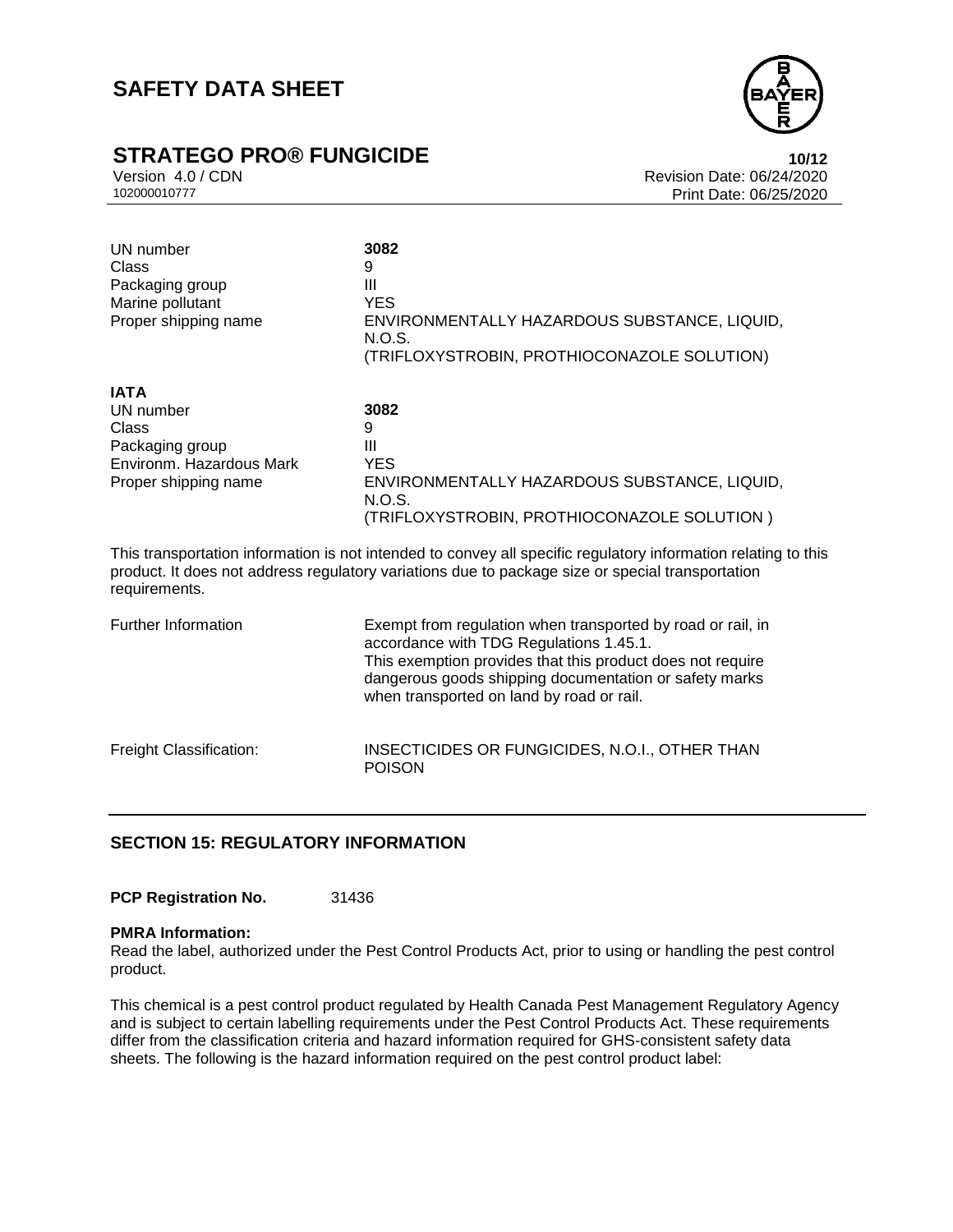# **STRATEGO PRO® FUNGICIDE**<br>Version 4.0 / CDN<br>Revision Date: 06/24/2020



Version 4.0 / CDN Revision Date: 06/24/2020 Print Date: 06/25/2020

| UN number<br>Class<br>Packaging group<br>Marine pollutant<br>Proper shipping name                                                                                                                                                   | 3082<br>9<br>Ш<br><b>YES</b><br>ENVIRONMENTALLY HAZARDOUS SUBSTANCE, LIQUID,<br>N.O.S.<br>(TRIFLOXYSTROBIN, PROTHIOCONAZOLE SOLUTION)                                                                                                                                       |  |
|-------------------------------------------------------------------------------------------------------------------------------------------------------------------------------------------------------------------------------------|-----------------------------------------------------------------------------------------------------------------------------------------------------------------------------------------------------------------------------------------------------------------------------|--|
| <b>IATA</b><br>UN number<br>Class<br>Packaging group<br>Environm, Hazardous Mark<br>Proper shipping name                                                                                                                            | 3082<br>9<br>Ш<br><b>YES</b><br>ENVIRONMENTALLY HAZARDOUS SUBSTANCE, LIQUID,<br>N.O.S.<br>(TRIFLOXYSTROBIN, PROTHIOCONAZOLE SOLUTION)                                                                                                                                       |  |
| This transportation information is not intended to convey all specific regulatory information relating to this<br>product. It does not address regulatory variations due to package size or special transportation<br>requirements. |                                                                                                                                                                                                                                                                             |  |
| <b>Further Information</b>                                                                                                                                                                                                          | Exempt from regulation when transported by road or rail, in<br>accordance with TDG Regulations 1.45.1.<br>This exemption provides that this product does not require<br>dangerous goods shipping documentation or safety marks<br>when transported on land by road or rail. |  |
| Freight Classification:                                                                                                                                                                                                             | INSECTICIDES OR FUNGICIDES, N.O.I., OTHER THAN<br><b>POISON</b>                                                                                                                                                                                                             |  |

## **SECTION 15: REGULATORY INFORMATION**

PCP Registration No. 31436

### **PMRA Information:**

Read the label, authorized under the Pest Control Products Act, prior to using or handling the pest control product.

This chemical is a pest control product regulated by Health Canada Pest Management Regulatory Agency and is subject to certain labelling requirements under the Pest Control Products Act. These requirements differ from the classification criteria and hazard information required for GHS-consistent safety data sheets. The following is the hazard information required on the pest control product label: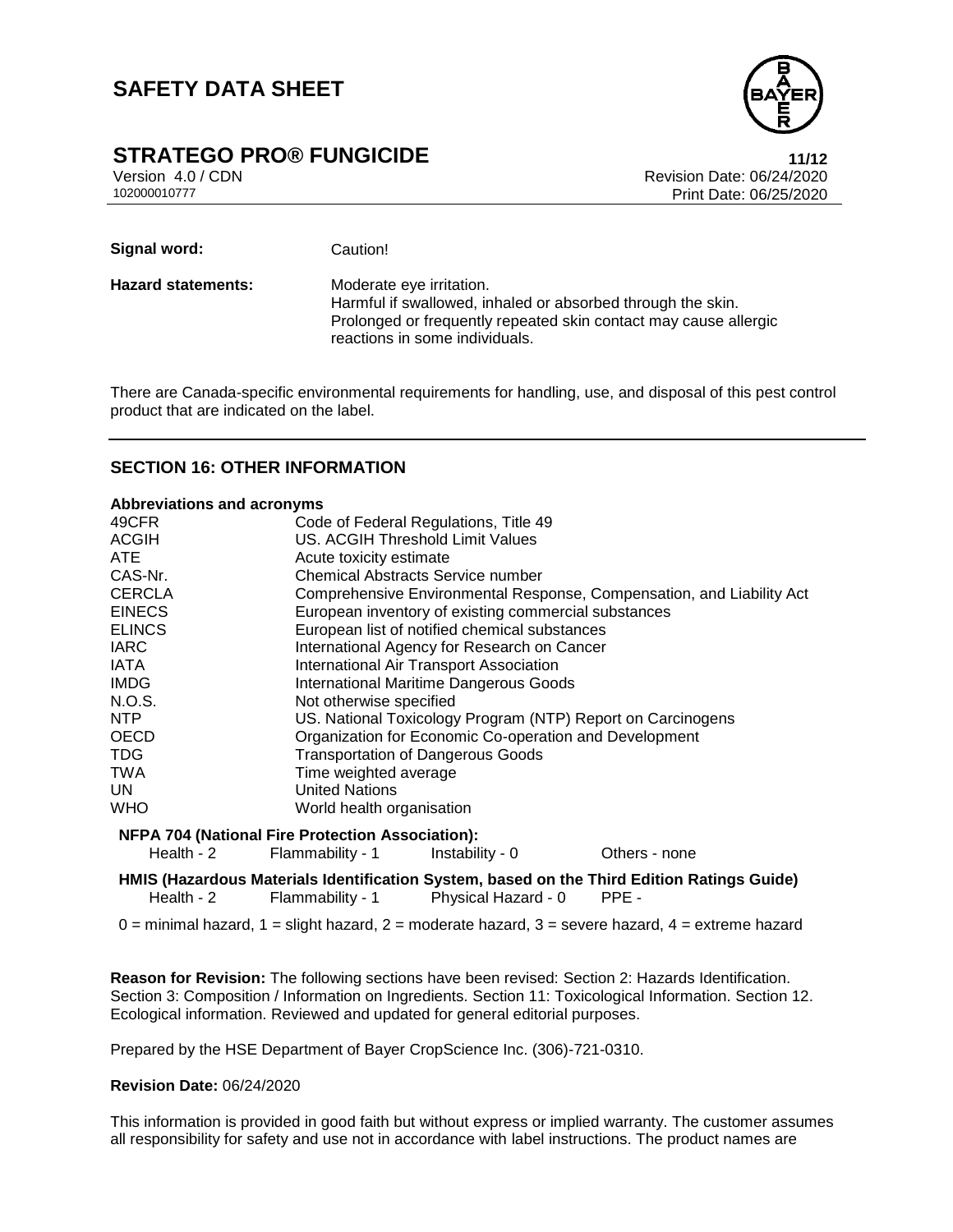

## **STRATEGO PRO® FUNGICIDE 11/12**

Version 4.0 / CDN Revision Date: 06/24/2020 Print Date: 06/25/2020

Signal word: Caution! **Hazard statements:** Moderate eye irritation. Harmful if swallowed, inhaled or absorbed through the skin. Prolonged or frequently repeated skin contact may cause allergic reactions in some individuals.

There are Canada-specific environmental requirements for handling, use, and disposal of this pest control product that are indicated on the label.

### **SECTION 16: OTHER INFORMATION**

| <b>Abbreviations and acronyms</b> |                                                         |                                                                       |                                                                                            |  |  |
|-----------------------------------|---------------------------------------------------------|-----------------------------------------------------------------------|--------------------------------------------------------------------------------------------|--|--|
| 49CFR                             |                                                         | Code of Federal Regulations, Title 49                                 |                                                                                            |  |  |
| <b>ACGIH</b>                      |                                                         | <b>US. ACGIH Threshold Limit Values</b>                               |                                                                                            |  |  |
| ATE.                              |                                                         | Acute toxicity estimate                                               |                                                                                            |  |  |
| CAS-Nr.                           |                                                         | Chemical Abstracts Service number                                     |                                                                                            |  |  |
| <b>CERCLA</b>                     |                                                         | Comprehensive Environmental Response, Compensation, and Liability Act |                                                                                            |  |  |
| <b>EINECS</b>                     |                                                         | European inventory of existing commercial substances                  |                                                                                            |  |  |
| <b>ELINCS</b>                     |                                                         | European list of notified chemical substances                         |                                                                                            |  |  |
| <b>IARC</b>                       |                                                         | International Agency for Research on Cancer                           |                                                                                            |  |  |
| <b>IATA</b>                       |                                                         | <b>International Air Transport Association</b>                        |                                                                                            |  |  |
| <b>IMDG</b>                       |                                                         | <b>International Maritime Dangerous Goods</b>                         |                                                                                            |  |  |
| N.O.S.                            |                                                         | Not otherwise specified                                               |                                                                                            |  |  |
| <b>NTP</b>                        |                                                         | US. National Toxicology Program (NTP) Report on Carcinogens           |                                                                                            |  |  |
| <b>OECD</b>                       |                                                         | Organization for Economic Co-operation and Development                |                                                                                            |  |  |
| <b>TDG</b>                        |                                                         | <b>Transportation of Dangerous Goods</b>                              |                                                                                            |  |  |
| <b>TWA</b>                        |                                                         | Time weighted average                                                 |                                                                                            |  |  |
| UN.                               |                                                         | <b>United Nations</b>                                                 |                                                                                            |  |  |
| <b>WHO</b>                        | World health organisation                               |                                                                       |                                                                                            |  |  |
|                                   | <b>NFPA 704 (National Fire Protection Association):</b> |                                                                       |                                                                                            |  |  |
| Health - $2$                      | Flammability - 1                                        | Instability - 0                                                       | Others - none                                                                              |  |  |
|                                   |                                                         |                                                                       | HMIS (Hazardous Materials Identification System, based on the Third Edition Ratings Guide) |  |  |
| Health - $2$                      | Flammability - 1                                        | Physical Hazard - 0                                                   | PPE -                                                                                      |  |  |

 $0 =$  minimal hazard,  $1 =$  slight hazard,  $2 =$  moderate hazard,  $3 =$  severe hazard,  $4 =$  extreme hazard

**Reason for Revision:** The following sections have been revised: Section 2: Hazards Identification. Section 3: Composition / Information on Ingredients. Section 11: Toxicological Information. Section 12. Ecological information. Reviewed and updated for general editorial purposes.

Prepared by the HSE Department of Bayer CropScience Inc. (306)-721-0310.

### **Revision Date:** 06/24/2020

This information is provided in good faith but without express or implied warranty. The customer assumes all responsibility for safety and use not in accordance with label instructions. The product names are